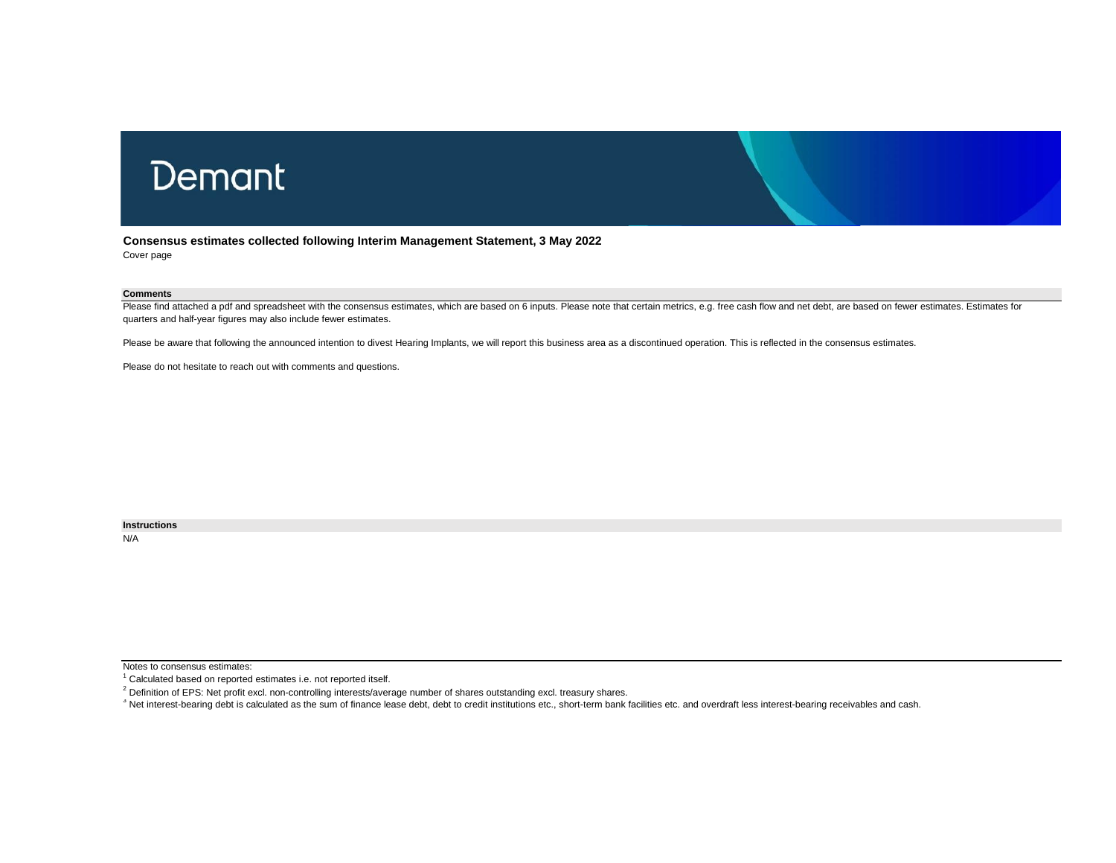# Demant

**Consensus estimates collected following Interim Management Statement, 3 May 2022** Cover page

#### **Comments**

Please find attached a pdf and spreadsheet with the consensus estimates, which are based on 6 inputs. Please note that certain metrics, e.g. free cash flow and net debt, are based on fewer estimates. Estimates for quarters and half-year figures may also include fewer estimates.

Please be aware that following the announced intention to divest Hearing Implants, we will report this business area as a discontinued operation. This is reflected in the consensus estimates.

Please do not hesitate to reach out with comments and questions.

**Instructions**

N/A

Notes to consensus estimates:

<sup>&</sup>lt;sup>1</sup> Calculated based on reported estimates i.e. not reported itself.

<sup>&</sup>lt;sup>2</sup> Definition of EPS: Net profit excl. non-controlling interests/average number of shares outstanding excl. treasury shares.

<sup>&</sup>lt;sup>3</sup> Net interest-bearing debt is calculated as the sum of finance lease debt, debt to credit institutions etc., short-term bank facilities etc. and overdraft less interest-bearing receivables and cash.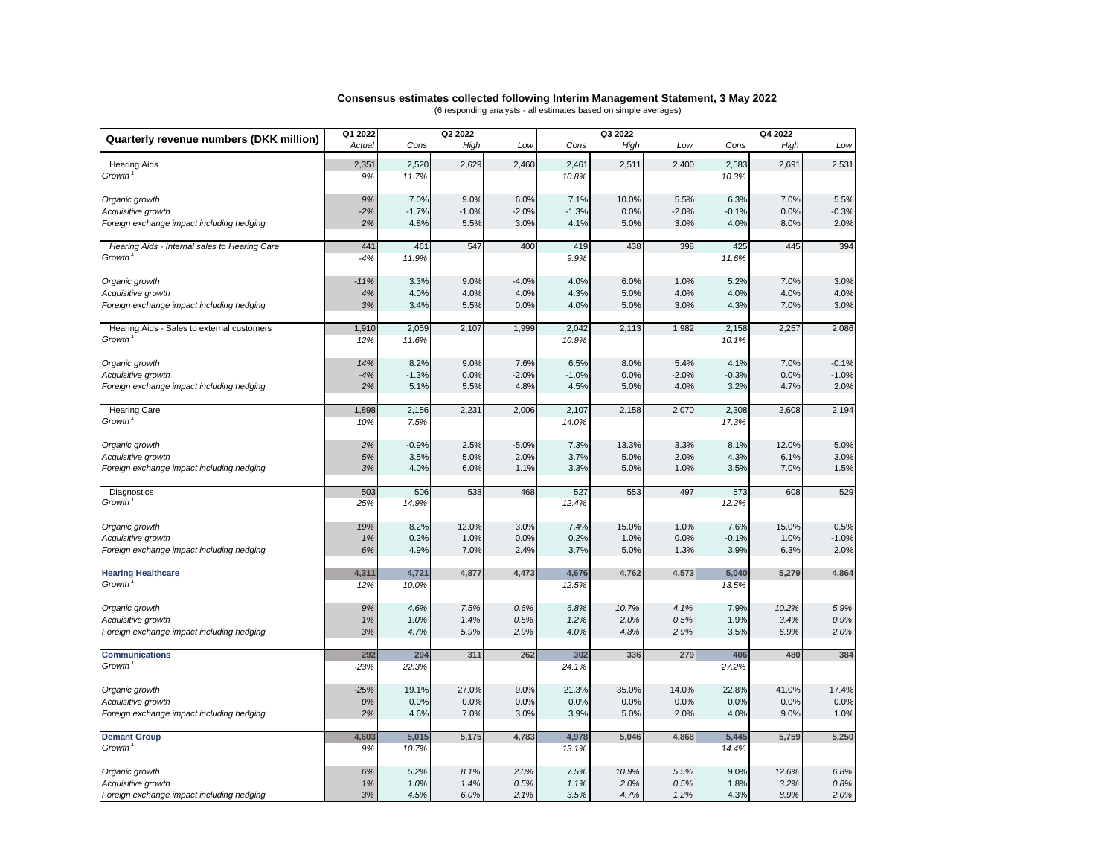#### **Consensus estimates collected following Interim Management Statement, 3 May 2022** (6 responding analysts - all estimates based on simple averages)

| Actual<br>Cons<br>High<br>Cons<br>High<br>Low<br>Cons<br>High<br>Low<br>Low<br>2,691<br>2,531<br>2,351<br>2,520<br>2,629<br>2,460<br>2,461<br>2,511<br>2,400<br>2,583<br><b>Hearing Aids</b><br>Growth <sup>1</sup><br>11.7%<br>10.8%<br>9%<br>10.3%<br>9%<br>7.0%<br>9.0%<br>6.0%<br>7.1%<br>10.0%<br>5.5%<br>6.3%<br>7.0%<br>5.5%<br>Organic growth<br>$-1.0%$<br>$-2.0%$<br>$-1.3%$<br>0.0%<br>$-2%$<br>$-1.7%$<br>0.0%<br>$-2.0%$<br>$-0.1%$<br>$-0.3%$<br>Acquisitive growth<br>4.8%<br>2.0%<br>Foreign exchange impact including hedging<br>2%<br>5.5%<br>3.0%<br>4.1%<br>5.0%<br>3.0%<br>4.0%<br>8.0%<br>394<br>461<br>547<br>400<br>419<br>438<br>398<br>445<br>Hearing Aids - Internal sales to Hearing Care<br>441<br>425<br>Growth <sup>®</sup><br>9.9%<br>$-4%$<br>11.9%<br>11.6%<br>3.3%<br>9.0%<br>$-4.0%$<br>4.0%<br>6.0%<br>1.0%<br>5.2%<br>7.0%<br>3.0%<br>Organic growth<br>$-11%$<br>4%<br>4.0%<br>4.0%<br>4.0%<br>4.3%<br>5.0%<br>4.0%<br>4.0%<br>4.0%<br>4.0%<br>Acquisitive growth<br>3.0%<br>Foreign exchange impact including hedging<br>3%<br>3.4%<br>5.5%<br>0.0%<br>4.0%<br>5.0%<br>3.0%<br>4.3%<br>7.0%<br>2,257<br>2,086<br>1,910<br>2,059<br>2,107<br>1,999<br>2,042<br>2,113<br>1,982<br>2,158<br>Hearing Aids - Sales to external customers<br>Growth <sup>1</sup><br>12%<br>11.6%<br>10.9%<br>10.1%<br>9.0%<br>8.0%<br>7.0%<br>$-0.1%$<br>14%<br>8.2%<br>7.6%<br>6.5%<br>5.4%<br>4.1%<br>Organic growth<br>$-4%$<br>$-1.3%$<br>0.0%<br>$-2.0%$<br>$-1.0%$<br>0.0%<br>$-2.0%$<br>$-0.3%$<br>0.0%<br>$-1.0%$<br>Acquisitive growth<br>2%<br>5.1%<br>5.5%<br>4.8%<br>4.5%<br>4.0%<br>3.2%<br>4.7%<br>2.0%<br>Foreign exchange impact including hedging<br>5.0%<br>2,194<br>1,898<br>2,156<br>2,231<br>2,006<br>2,107<br>2,158<br>2,070<br>2,608<br>2,308<br><b>Hearing Care</b><br><b>Growth</b><br>14.0%<br>10%<br>7.5%<br>17.3%<br>2%<br>$-0.9%$<br>2.5%<br>$-5.0%$<br>7.3%<br>13.3%<br>3.3%<br>8.1%<br>12.0%<br>5.0%<br>Organic growth<br>3.0%<br>5%<br>3.5%<br>5.0%<br>2.0%<br>3.7%<br>5.0%<br>2.0%<br>4.3%<br>6.1%<br>Acquisitive growth<br>3%<br>4.0%<br>6.0%<br>3.3%<br>5.0%<br>3.5%<br>7.0%<br>1.5%<br>Foreign exchange impact including hedging<br>1.1%<br>1.0%<br>529<br>506<br>538<br>468<br>527<br>553<br>497<br>608<br>503<br>573<br>Diagnostics<br>Growth <sup>1</sup><br>25%<br>14.9%<br>12.4%<br>12.2%<br>19%<br>8.2%<br>12.0%<br>3.0%<br>7.4%<br>15.0%<br>1.0%<br>7.6%<br>15.0%<br>0.5%<br>Organic growth<br>1%<br>0.2%<br>1.0%<br>0.0%<br>0.2%<br>1.0%<br>0.0%<br>$-0.1%$<br>1.0%<br>$-1.0%$<br>Acquisitive growth<br>4.9%<br>2.0%<br>Foreign exchange impact including hedging<br>6%<br>7.0%<br>2.4%<br>3.7%<br>5.0%<br>1.3%<br>3.9%<br>6.3%<br>4,864<br>4,311<br>4,721<br>4,877<br>4,473<br>4,676<br>4,762<br>4,573<br>5,040<br>5,279<br><b>Hearing Healthcare</b><br>Growth<br>10.0%<br>12.5%<br>13.5%<br>12%<br>9%<br>4.6%<br>7.5%<br>0.6%<br>6.8%<br>10.7%<br>4.1%<br>7.9%<br>10.2%<br>5.9%<br>Organic growth<br>1.0%<br>1.4%<br>0.5%<br>1.2%<br>2.0%<br>0.5%<br>1.9%<br>3.4%<br>0.9%<br>Acquisitive growth<br>1%<br>2.0%<br>3%<br>4.7%<br>5.9%<br>2.9%<br>4.0%<br>2.9%<br>3.5%<br>6.9%<br>Foreign exchange impact including hedging<br>4.8%<br>294<br>311<br>262<br>336<br>279<br>480<br>384<br><b>Communications</b><br>292<br>302<br>406<br>Growth <sup>1</sup><br>$-23%$<br>22.3%<br>24.1%<br>27.2%<br>$-25%$<br>19.1%<br>27.0%<br>9.0%<br>21.3%<br>35.0%<br>14.0%<br>22.8%<br>41.0%<br>17.4%<br>Organic growth<br>0.0%<br>0.0%<br>0.0%<br>0.0%<br>0.0%<br>0.0%<br>0%<br>0.0%<br>0.0%<br>0.0%<br>Acquisitive growth<br>2%<br>4.6%<br>7.0%<br>3.9%<br>2.0%<br>4.0%<br>9.0%<br>1.0%<br>Foreign exchange impact including hedging<br>3.0%<br>5.0%<br>4,603<br>5,015<br>5,175<br>4,783<br>5,046<br>4,868<br>5,759<br>5,250<br>4,978<br>5,445<br><b>Demant Group</b><br>Growth <sup>1</sup><br>9%<br>10.7%<br>13.1%<br>14.4%<br>6.8%<br>Organic growth<br>6%<br>5.2%<br>8.1%<br>2.0%<br>7.5%<br>10.9%<br>5.5%<br>9.0%<br>12.6%<br>3.2%<br>0.8%<br>1%<br>1.0%<br>1.4%<br>0.5%<br>1.1%<br>2.0%<br>0.5%<br>1.8%<br>Acquisitive growth<br>3%<br>4.5%<br>6.0%<br>3.5%<br>4.7%<br>4.3%<br>8.9%<br>2.0%<br>Foreign exchange impact including hedging<br>2.1%<br>1.2% |                                         | Q1 2022 | Q2 2022 |  | Q3 2022 |  | Q4 2022 |  |  |
|-------------------------------------------------------------------------------------------------------------------------------------------------------------------------------------------------------------------------------------------------------------------------------------------------------------------------------------------------------------------------------------------------------------------------------------------------------------------------------------------------------------------------------------------------------------------------------------------------------------------------------------------------------------------------------------------------------------------------------------------------------------------------------------------------------------------------------------------------------------------------------------------------------------------------------------------------------------------------------------------------------------------------------------------------------------------------------------------------------------------------------------------------------------------------------------------------------------------------------------------------------------------------------------------------------------------------------------------------------------------------------------------------------------------------------------------------------------------------------------------------------------------------------------------------------------------------------------------------------------------------------------------------------------------------------------------------------------------------------------------------------------------------------------------------------------------------------------------------------------------------------------------------------------------------------------------------------------------------------------------------------------------------------------------------------------------------------------------------------------------------------------------------------------------------------------------------------------------------------------------------------------------------------------------------------------------------------------------------------------------------------------------------------------------------------------------------------------------------------------------------------------------------------------------------------------------------------------------------------------------------------------------------------------------------------------------------------------------------------------------------------------------------------------------------------------------------------------------------------------------------------------------------------------------------------------------------------------------------------------------------------------------------------------------------------------------------------------------------------------------------------------------------------------------------------------------------------------------------------------------------------------------------------------------------------------------------------------------------------------------------------------------------------------------------------------------------------------------------------------------------------------------------------------------------------------------------------------------------------------------------------------------------------------------------------------------------------------------------------------------------------------------------------------------------------------------------------------------------------------------------------------------------------------------------------------------------------------------------------------------------------------------------------------------------------------------------------------------------------------------------------------------------------------------------------------------------------------------|-----------------------------------------|---------|---------|--|---------|--|---------|--|--|
|                                                                                                                                                                                                                                                                                                                                                                                                                                                                                                                                                                                                                                                                                                                                                                                                                                                                                                                                                                                                                                                                                                                                                                                                                                                                                                                                                                                                                                                                                                                                                                                                                                                                                                                                                                                                                                                                                                                                                                                                                                                                                                                                                                                                                                                                                                                                                                                                                                                                                                                                                                                                                                                                                                                                                                                                                                                                                                                                                                                                                                                                                                                                                                                                                                                                                                                                                                                                                                                                                                                                                                                                                                                                                                                                                                                                                                                                                                                                                                                                                                                                                                                                                                                                                   | Quarterly revenue numbers (DKK million) |         |         |  |         |  |         |  |  |
|                                                                                                                                                                                                                                                                                                                                                                                                                                                                                                                                                                                                                                                                                                                                                                                                                                                                                                                                                                                                                                                                                                                                                                                                                                                                                                                                                                                                                                                                                                                                                                                                                                                                                                                                                                                                                                                                                                                                                                                                                                                                                                                                                                                                                                                                                                                                                                                                                                                                                                                                                                                                                                                                                                                                                                                                                                                                                                                                                                                                                                                                                                                                                                                                                                                                                                                                                                                                                                                                                                                                                                                                                                                                                                                                                                                                                                                                                                                                                                                                                                                                                                                                                                                                                   |                                         |         |         |  |         |  |         |  |  |
|                                                                                                                                                                                                                                                                                                                                                                                                                                                                                                                                                                                                                                                                                                                                                                                                                                                                                                                                                                                                                                                                                                                                                                                                                                                                                                                                                                                                                                                                                                                                                                                                                                                                                                                                                                                                                                                                                                                                                                                                                                                                                                                                                                                                                                                                                                                                                                                                                                                                                                                                                                                                                                                                                                                                                                                                                                                                                                                                                                                                                                                                                                                                                                                                                                                                                                                                                                                                                                                                                                                                                                                                                                                                                                                                                                                                                                                                                                                                                                                                                                                                                                                                                                                                                   |                                         |         |         |  |         |  |         |  |  |
|                                                                                                                                                                                                                                                                                                                                                                                                                                                                                                                                                                                                                                                                                                                                                                                                                                                                                                                                                                                                                                                                                                                                                                                                                                                                                                                                                                                                                                                                                                                                                                                                                                                                                                                                                                                                                                                                                                                                                                                                                                                                                                                                                                                                                                                                                                                                                                                                                                                                                                                                                                                                                                                                                                                                                                                                                                                                                                                                                                                                                                                                                                                                                                                                                                                                                                                                                                                                                                                                                                                                                                                                                                                                                                                                                                                                                                                                                                                                                                                                                                                                                                                                                                                                                   |                                         |         |         |  |         |  |         |  |  |
|                                                                                                                                                                                                                                                                                                                                                                                                                                                                                                                                                                                                                                                                                                                                                                                                                                                                                                                                                                                                                                                                                                                                                                                                                                                                                                                                                                                                                                                                                                                                                                                                                                                                                                                                                                                                                                                                                                                                                                                                                                                                                                                                                                                                                                                                                                                                                                                                                                                                                                                                                                                                                                                                                                                                                                                                                                                                                                                                                                                                                                                                                                                                                                                                                                                                                                                                                                                                                                                                                                                                                                                                                                                                                                                                                                                                                                                                                                                                                                                                                                                                                                                                                                                                                   |                                         |         |         |  |         |  |         |  |  |
|                                                                                                                                                                                                                                                                                                                                                                                                                                                                                                                                                                                                                                                                                                                                                                                                                                                                                                                                                                                                                                                                                                                                                                                                                                                                                                                                                                                                                                                                                                                                                                                                                                                                                                                                                                                                                                                                                                                                                                                                                                                                                                                                                                                                                                                                                                                                                                                                                                                                                                                                                                                                                                                                                                                                                                                                                                                                                                                                                                                                                                                                                                                                                                                                                                                                                                                                                                                                                                                                                                                                                                                                                                                                                                                                                                                                                                                                                                                                                                                                                                                                                                                                                                                                                   |                                         |         |         |  |         |  |         |  |  |
|                                                                                                                                                                                                                                                                                                                                                                                                                                                                                                                                                                                                                                                                                                                                                                                                                                                                                                                                                                                                                                                                                                                                                                                                                                                                                                                                                                                                                                                                                                                                                                                                                                                                                                                                                                                                                                                                                                                                                                                                                                                                                                                                                                                                                                                                                                                                                                                                                                                                                                                                                                                                                                                                                                                                                                                                                                                                                                                                                                                                                                                                                                                                                                                                                                                                                                                                                                                                                                                                                                                                                                                                                                                                                                                                                                                                                                                                                                                                                                                                                                                                                                                                                                                                                   |                                         |         |         |  |         |  |         |  |  |
|                                                                                                                                                                                                                                                                                                                                                                                                                                                                                                                                                                                                                                                                                                                                                                                                                                                                                                                                                                                                                                                                                                                                                                                                                                                                                                                                                                                                                                                                                                                                                                                                                                                                                                                                                                                                                                                                                                                                                                                                                                                                                                                                                                                                                                                                                                                                                                                                                                                                                                                                                                                                                                                                                                                                                                                                                                                                                                                                                                                                                                                                                                                                                                                                                                                                                                                                                                                                                                                                                                                                                                                                                                                                                                                                                                                                                                                                                                                                                                                                                                                                                                                                                                                                                   |                                         |         |         |  |         |  |         |  |  |
|                                                                                                                                                                                                                                                                                                                                                                                                                                                                                                                                                                                                                                                                                                                                                                                                                                                                                                                                                                                                                                                                                                                                                                                                                                                                                                                                                                                                                                                                                                                                                                                                                                                                                                                                                                                                                                                                                                                                                                                                                                                                                                                                                                                                                                                                                                                                                                                                                                                                                                                                                                                                                                                                                                                                                                                                                                                                                                                                                                                                                                                                                                                                                                                                                                                                                                                                                                                                                                                                                                                                                                                                                                                                                                                                                                                                                                                                                                                                                                                                                                                                                                                                                                                                                   |                                         |         |         |  |         |  |         |  |  |
|                                                                                                                                                                                                                                                                                                                                                                                                                                                                                                                                                                                                                                                                                                                                                                                                                                                                                                                                                                                                                                                                                                                                                                                                                                                                                                                                                                                                                                                                                                                                                                                                                                                                                                                                                                                                                                                                                                                                                                                                                                                                                                                                                                                                                                                                                                                                                                                                                                                                                                                                                                                                                                                                                                                                                                                                                                                                                                                                                                                                                                                                                                                                                                                                                                                                                                                                                                                                                                                                                                                                                                                                                                                                                                                                                                                                                                                                                                                                                                                                                                                                                                                                                                                                                   |                                         |         |         |  |         |  |         |  |  |
|                                                                                                                                                                                                                                                                                                                                                                                                                                                                                                                                                                                                                                                                                                                                                                                                                                                                                                                                                                                                                                                                                                                                                                                                                                                                                                                                                                                                                                                                                                                                                                                                                                                                                                                                                                                                                                                                                                                                                                                                                                                                                                                                                                                                                                                                                                                                                                                                                                                                                                                                                                                                                                                                                                                                                                                                                                                                                                                                                                                                                                                                                                                                                                                                                                                                                                                                                                                                                                                                                                                                                                                                                                                                                                                                                                                                                                                                                                                                                                                                                                                                                                                                                                                                                   |                                         |         |         |  |         |  |         |  |  |
|                                                                                                                                                                                                                                                                                                                                                                                                                                                                                                                                                                                                                                                                                                                                                                                                                                                                                                                                                                                                                                                                                                                                                                                                                                                                                                                                                                                                                                                                                                                                                                                                                                                                                                                                                                                                                                                                                                                                                                                                                                                                                                                                                                                                                                                                                                                                                                                                                                                                                                                                                                                                                                                                                                                                                                                                                                                                                                                                                                                                                                                                                                                                                                                                                                                                                                                                                                                                                                                                                                                                                                                                                                                                                                                                                                                                                                                                                                                                                                                                                                                                                                                                                                                                                   |                                         |         |         |  |         |  |         |  |  |
|                                                                                                                                                                                                                                                                                                                                                                                                                                                                                                                                                                                                                                                                                                                                                                                                                                                                                                                                                                                                                                                                                                                                                                                                                                                                                                                                                                                                                                                                                                                                                                                                                                                                                                                                                                                                                                                                                                                                                                                                                                                                                                                                                                                                                                                                                                                                                                                                                                                                                                                                                                                                                                                                                                                                                                                                                                                                                                                                                                                                                                                                                                                                                                                                                                                                                                                                                                                                                                                                                                                                                                                                                                                                                                                                                                                                                                                                                                                                                                                                                                                                                                                                                                                                                   |                                         |         |         |  |         |  |         |  |  |
|                                                                                                                                                                                                                                                                                                                                                                                                                                                                                                                                                                                                                                                                                                                                                                                                                                                                                                                                                                                                                                                                                                                                                                                                                                                                                                                                                                                                                                                                                                                                                                                                                                                                                                                                                                                                                                                                                                                                                                                                                                                                                                                                                                                                                                                                                                                                                                                                                                                                                                                                                                                                                                                                                                                                                                                                                                                                                                                                                                                                                                                                                                                                                                                                                                                                                                                                                                                                                                                                                                                                                                                                                                                                                                                                                                                                                                                                                                                                                                                                                                                                                                                                                                                                                   |                                         |         |         |  |         |  |         |  |  |
|                                                                                                                                                                                                                                                                                                                                                                                                                                                                                                                                                                                                                                                                                                                                                                                                                                                                                                                                                                                                                                                                                                                                                                                                                                                                                                                                                                                                                                                                                                                                                                                                                                                                                                                                                                                                                                                                                                                                                                                                                                                                                                                                                                                                                                                                                                                                                                                                                                                                                                                                                                                                                                                                                                                                                                                                                                                                                                                                                                                                                                                                                                                                                                                                                                                                                                                                                                                                                                                                                                                                                                                                                                                                                                                                                                                                                                                                                                                                                                                                                                                                                                                                                                                                                   |                                         |         |         |  |         |  |         |  |  |
|                                                                                                                                                                                                                                                                                                                                                                                                                                                                                                                                                                                                                                                                                                                                                                                                                                                                                                                                                                                                                                                                                                                                                                                                                                                                                                                                                                                                                                                                                                                                                                                                                                                                                                                                                                                                                                                                                                                                                                                                                                                                                                                                                                                                                                                                                                                                                                                                                                                                                                                                                                                                                                                                                                                                                                                                                                                                                                                                                                                                                                                                                                                                                                                                                                                                                                                                                                                                                                                                                                                                                                                                                                                                                                                                                                                                                                                                                                                                                                                                                                                                                                                                                                                                                   |                                         |         |         |  |         |  |         |  |  |
|                                                                                                                                                                                                                                                                                                                                                                                                                                                                                                                                                                                                                                                                                                                                                                                                                                                                                                                                                                                                                                                                                                                                                                                                                                                                                                                                                                                                                                                                                                                                                                                                                                                                                                                                                                                                                                                                                                                                                                                                                                                                                                                                                                                                                                                                                                                                                                                                                                                                                                                                                                                                                                                                                                                                                                                                                                                                                                                                                                                                                                                                                                                                                                                                                                                                                                                                                                                                                                                                                                                                                                                                                                                                                                                                                                                                                                                                                                                                                                                                                                                                                                                                                                                                                   |                                         |         |         |  |         |  |         |  |  |
|                                                                                                                                                                                                                                                                                                                                                                                                                                                                                                                                                                                                                                                                                                                                                                                                                                                                                                                                                                                                                                                                                                                                                                                                                                                                                                                                                                                                                                                                                                                                                                                                                                                                                                                                                                                                                                                                                                                                                                                                                                                                                                                                                                                                                                                                                                                                                                                                                                                                                                                                                                                                                                                                                                                                                                                                                                                                                                                                                                                                                                                                                                                                                                                                                                                                                                                                                                                                                                                                                                                                                                                                                                                                                                                                                                                                                                                                                                                                                                                                                                                                                                                                                                                                                   |                                         |         |         |  |         |  |         |  |  |
|                                                                                                                                                                                                                                                                                                                                                                                                                                                                                                                                                                                                                                                                                                                                                                                                                                                                                                                                                                                                                                                                                                                                                                                                                                                                                                                                                                                                                                                                                                                                                                                                                                                                                                                                                                                                                                                                                                                                                                                                                                                                                                                                                                                                                                                                                                                                                                                                                                                                                                                                                                                                                                                                                                                                                                                                                                                                                                                                                                                                                                                                                                                                                                                                                                                                                                                                                                                                                                                                                                                                                                                                                                                                                                                                                                                                                                                                                                                                                                                                                                                                                                                                                                                                                   |                                         |         |         |  |         |  |         |  |  |
|                                                                                                                                                                                                                                                                                                                                                                                                                                                                                                                                                                                                                                                                                                                                                                                                                                                                                                                                                                                                                                                                                                                                                                                                                                                                                                                                                                                                                                                                                                                                                                                                                                                                                                                                                                                                                                                                                                                                                                                                                                                                                                                                                                                                                                                                                                                                                                                                                                                                                                                                                                                                                                                                                                                                                                                                                                                                                                                                                                                                                                                                                                                                                                                                                                                                                                                                                                                                                                                                                                                                                                                                                                                                                                                                                                                                                                                                                                                                                                                                                                                                                                                                                                                                                   |                                         |         |         |  |         |  |         |  |  |
|                                                                                                                                                                                                                                                                                                                                                                                                                                                                                                                                                                                                                                                                                                                                                                                                                                                                                                                                                                                                                                                                                                                                                                                                                                                                                                                                                                                                                                                                                                                                                                                                                                                                                                                                                                                                                                                                                                                                                                                                                                                                                                                                                                                                                                                                                                                                                                                                                                                                                                                                                                                                                                                                                                                                                                                                                                                                                                                                                                                                                                                                                                                                                                                                                                                                                                                                                                                                                                                                                                                                                                                                                                                                                                                                                                                                                                                                                                                                                                                                                                                                                                                                                                                                                   |                                         |         |         |  |         |  |         |  |  |
|                                                                                                                                                                                                                                                                                                                                                                                                                                                                                                                                                                                                                                                                                                                                                                                                                                                                                                                                                                                                                                                                                                                                                                                                                                                                                                                                                                                                                                                                                                                                                                                                                                                                                                                                                                                                                                                                                                                                                                                                                                                                                                                                                                                                                                                                                                                                                                                                                                                                                                                                                                                                                                                                                                                                                                                                                                                                                                                                                                                                                                                                                                                                                                                                                                                                                                                                                                                                                                                                                                                                                                                                                                                                                                                                                                                                                                                                                                                                                                                                                                                                                                                                                                                                                   |                                         |         |         |  |         |  |         |  |  |
|                                                                                                                                                                                                                                                                                                                                                                                                                                                                                                                                                                                                                                                                                                                                                                                                                                                                                                                                                                                                                                                                                                                                                                                                                                                                                                                                                                                                                                                                                                                                                                                                                                                                                                                                                                                                                                                                                                                                                                                                                                                                                                                                                                                                                                                                                                                                                                                                                                                                                                                                                                                                                                                                                                                                                                                                                                                                                                                                                                                                                                                                                                                                                                                                                                                                                                                                                                                                                                                                                                                                                                                                                                                                                                                                                                                                                                                                                                                                                                                                                                                                                                                                                                                                                   |                                         |         |         |  |         |  |         |  |  |
|                                                                                                                                                                                                                                                                                                                                                                                                                                                                                                                                                                                                                                                                                                                                                                                                                                                                                                                                                                                                                                                                                                                                                                                                                                                                                                                                                                                                                                                                                                                                                                                                                                                                                                                                                                                                                                                                                                                                                                                                                                                                                                                                                                                                                                                                                                                                                                                                                                                                                                                                                                                                                                                                                                                                                                                                                                                                                                                                                                                                                                                                                                                                                                                                                                                                                                                                                                                                                                                                                                                                                                                                                                                                                                                                                                                                                                                                                                                                                                                                                                                                                                                                                                                                                   |                                         |         |         |  |         |  |         |  |  |
|                                                                                                                                                                                                                                                                                                                                                                                                                                                                                                                                                                                                                                                                                                                                                                                                                                                                                                                                                                                                                                                                                                                                                                                                                                                                                                                                                                                                                                                                                                                                                                                                                                                                                                                                                                                                                                                                                                                                                                                                                                                                                                                                                                                                                                                                                                                                                                                                                                                                                                                                                                                                                                                                                                                                                                                                                                                                                                                                                                                                                                                                                                                                                                                                                                                                                                                                                                                                                                                                                                                                                                                                                                                                                                                                                                                                                                                                                                                                                                                                                                                                                                                                                                                                                   |                                         |         |         |  |         |  |         |  |  |
|                                                                                                                                                                                                                                                                                                                                                                                                                                                                                                                                                                                                                                                                                                                                                                                                                                                                                                                                                                                                                                                                                                                                                                                                                                                                                                                                                                                                                                                                                                                                                                                                                                                                                                                                                                                                                                                                                                                                                                                                                                                                                                                                                                                                                                                                                                                                                                                                                                                                                                                                                                                                                                                                                                                                                                                                                                                                                                                                                                                                                                                                                                                                                                                                                                                                                                                                                                                                                                                                                                                                                                                                                                                                                                                                                                                                                                                                                                                                                                                                                                                                                                                                                                                                                   |                                         |         |         |  |         |  |         |  |  |
|                                                                                                                                                                                                                                                                                                                                                                                                                                                                                                                                                                                                                                                                                                                                                                                                                                                                                                                                                                                                                                                                                                                                                                                                                                                                                                                                                                                                                                                                                                                                                                                                                                                                                                                                                                                                                                                                                                                                                                                                                                                                                                                                                                                                                                                                                                                                                                                                                                                                                                                                                                                                                                                                                                                                                                                                                                                                                                                                                                                                                                                                                                                                                                                                                                                                                                                                                                                                                                                                                                                                                                                                                                                                                                                                                                                                                                                                                                                                                                                                                                                                                                                                                                                                                   |                                         |         |         |  |         |  |         |  |  |
|                                                                                                                                                                                                                                                                                                                                                                                                                                                                                                                                                                                                                                                                                                                                                                                                                                                                                                                                                                                                                                                                                                                                                                                                                                                                                                                                                                                                                                                                                                                                                                                                                                                                                                                                                                                                                                                                                                                                                                                                                                                                                                                                                                                                                                                                                                                                                                                                                                                                                                                                                                                                                                                                                                                                                                                                                                                                                                                                                                                                                                                                                                                                                                                                                                                                                                                                                                                                                                                                                                                                                                                                                                                                                                                                                                                                                                                                                                                                                                                                                                                                                                                                                                                                                   |                                         |         |         |  |         |  |         |  |  |
|                                                                                                                                                                                                                                                                                                                                                                                                                                                                                                                                                                                                                                                                                                                                                                                                                                                                                                                                                                                                                                                                                                                                                                                                                                                                                                                                                                                                                                                                                                                                                                                                                                                                                                                                                                                                                                                                                                                                                                                                                                                                                                                                                                                                                                                                                                                                                                                                                                                                                                                                                                                                                                                                                                                                                                                                                                                                                                                                                                                                                                                                                                                                                                                                                                                                                                                                                                                                                                                                                                                                                                                                                                                                                                                                                                                                                                                                                                                                                                                                                                                                                                                                                                                                                   |                                         |         |         |  |         |  |         |  |  |
|                                                                                                                                                                                                                                                                                                                                                                                                                                                                                                                                                                                                                                                                                                                                                                                                                                                                                                                                                                                                                                                                                                                                                                                                                                                                                                                                                                                                                                                                                                                                                                                                                                                                                                                                                                                                                                                                                                                                                                                                                                                                                                                                                                                                                                                                                                                                                                                                                                                                                                                                                                                                                                                                                                                                                                                                                                                                                                                                                                                                                                                                                                                                                                                                                                                                                                                                                                                                                                                                                                                                                                                                                                                                                                                                                                                                                                                                                                                                                                                                                                                                                                                                                                                                                   |                                         |         |         |  |         |  |         |  |  |
|                                                                                                                                                                                                                                                                                                                                                                                                                                                                                                                                                                                                                                                                                                                                                                                                                                                                                                                                                                                                                                                                                                                                                                                                                                                                                                                                                                                                                                                                                                                                                                                                                                                                                                                                                                                                                                                                                                                                                                                                                                                                                                                                                                                                                                                                                                                                                                                                                                                                                                                                                                                                                                                                                                                                                                                                                                                                                                                                                                                                                                                                                                                                                                                                                                                                                                                                                                                                                                                                                                                                                                                                                                                                                                                                                                                                                                                                                                                                                                                                                                                                                                                                                                                                                   |                                         |         |         |  |         |  |         |  |  |
|                                                                                                                                                                                                                                                                                                                                                                                                                                                                                                                                                                                                                                                                                                                                                                                                                                                                                                                                                                                                                                                                                                                                                                                                                                                                                                                                                                                                                                                                                                                                                                                                                                                                                                                                                                                                                                                                                                                                                                                                                                                                                                                                                                                                                                                                                                                                                                                                                                                                                                                                                                                                                                                                                                                                                                                                                                                                                                                                                                                                                                                                                                                                                                                                                                                                                                                                                                                                                                                                                                                                                                                                                                                                                                                                                                                                                                                                                                                                                                                                                                                                                                                                                                                                                   |                                         |         |         |  |         |  |         |  |  |
|                                                                                                                                                                                                                                                                                                                                                                                                                                                                                                                                                                                                                                                                                                                                                                                                                                                                                                                                                                                                                                                                                                                                                                                                                                                                                                                                                                                                                                                                                                                                                                                                                                                                                                                                                                                                                                                                                                                                                                                                                                                                                                                                                                                                                                                                                                                                                                                                                                                                                                                                                                                                                                                                                                                                                                                                                                                                                                                                                                                                                                                                                                                                                                                                                                                                                                                                                                                                                                                                                                                                                                                                                                                                                                                                                                                                                                                                                                                                                                                                                                                                                                                                                                                                                   |                                         |         |         |  |         |  |         |  |  |
|                                                                                                                                                                                                                                                                                                                                                                                                                                                                                                                                                                                                                                                                                                                                                                                                                                                                                                                                                                                                                                                                                                                                                                                                                                                                                                                                                                                                                                                                                                                                                                                                                                                                                                                                                                                                                                                                                                                                                                                                                                                                                                                                                                                                                                                                                                                                                                                                                                                                                                                                                                                                                                                                                                                                                                                                                                                                                                                                                                                                                                                                                                                                                                                                                                                                                                                                                                                                                                                                                                                                                                                                                                                                                                                                                                                                                                                                                                                                                                                                                                                                                                                                                                                                                   |                                         |         |         |  |         |  |         |  |  |
|                                                                                                                                                                                                                                                                                                                                                                                                                                                                                                                                                                                                                                                                                                                                                                                                                                                                                                                                                                                                                                                                                                                                                                                                                                                                                                                                                                                                                                                                                                                                                                                                                                                                                                                                                                                                                                                                                                                                                                                                                                                                                                                                                                                                                                                                                                                                                                                                                                                                                                                                                                                                                                                                                                                                                                                                                                                                                                                                                                                                                                                                                                                                                                                                                                                                                                                                                                                                                                                                                                                                                                                                                                                                                                                                                                                                                                                                                                                                                                                                                                                                                                                                                                                                                   |                                         |         |         |  |         |  |         |  |  |
|                                                                                                                                                                                                                                                                                                                                                                                                                                                                                                                                                                                                                                                                                                                                                                                                                                                                                                                                                                                                                                                                                                                                                                                                                                                                                                                                                                                                                                                                                                                                                                                                                                                                                                                                                                                                                                                                                                                                                                                                                                                                                                                                                                                                                                                                                                                                                                                                                                                                                                                                                                                                                                                                                                                                                                                                                                                                                                                                                                                                                                                                                                                                                                                                                                                                                                                                                                                                                                                                                                                                                                                                                                                                                                                                                                                                                                                                                                                                                                                                                                                                                                                                                                                                                   |                                         |         |         |  |         |  |         |  |  |
|                                                                                                                                                                                                                                                                                                                                                                                                                                                                                                                                                                                                                                                                                                                                                                                                                                                                                                                                                                                                                                                                                                                                                                                                                                                                                                                                                                                                                                                                                                                                                                                                                                                                                                                                                                                                                                                                                                                                                                                                                                                                                                                                                                                                                                                                                                                                                                                                                                                                                                                                                                                                                                                                                                                                                                                                                                                                                                                                                                                                                                                                                                                                                                                                                                                                                                                                                                                                                                                                                                                                                                                                                                                                                                                                                                                                                                                                                                                                                                                                                                                                                                                                                                                                                   |                                         |         |         |  |         |  |         |  |  |
|                                                                                                                                                                                                                                                                                                                                                                                                                                                                                                                                                                                                                                                                                                                                                                                                                                                                                                                                                                                                                                                                                                                                                                                                                                                                                                                                                                                                                                                                                                                                                                                                                                                                                                                                                                                                                                                                                                                                                                                                                                                                                                                                                                                                                                                                                                                                                                                                                                                                                                                                                                                                                                                                                                                                                                                                                                                                                                                                                                                                                                                                                                                                                                                                                                                                                                                                                                                                                                                                                                                                                                                                                                                                                                                                                                                                                                                                                                                                                                                                                                                                                                                                                                                                                   |                                         |         |         |  |         |  |         |  |  |
|                                                                                                                                                                                                                                                                                                                                                                                                                                                                                                                                                                                                                                                                                                                                                                                                                                                                                                                                                                                                                                                                                                                                                                                                                                                                                                                                                                                                                                                                                                                                                                                                                                                                                                                                                                                                                                                                                                                                                                                                                                                                                                                                                                                                                                                                                                                                                                                                                                                                                                                                                                                                                                                                                                                                                                                                                                                                                                                                                                                                                                                                                                                                                                                                                                                                                                                                                                                                                                                                                                                                                                                                                                                                                                                                                                                                                                                                                                                                                                                                                                                                                                                                                                                                                   |                                         |         |         |  |         |  |         |  |  |
|                                                                                                                                                                                                                                                                                                                                                                                                                                                                                                                                                                                                                                                                                                                                                                                                                                                                                                                                                                                                                                                                                                                                                                                                                                                                                                                                                                                                                                                                                                                                                                                                                                                                                                                                                                                                                                                                                                                                                                                                                                                                                                                                                                                                                                                                                                                                                                                                                                                                                                                                                                                                                                                                                                                                                                                                                                                                                                                                                                                                                                                                                                                                                                                                                                                                                                                                                                                                                                                                                                                                                                                                                                                                                                                                                                                                                                                                                                                                                                                                                                                                                                                                                                                                                   |                                         |         |         |  |         |  |         |  |  |
|                                                                                                                                                                                                                                                                                                                                                                                                                                                                                                                                                                                                                                                                                                                                                                                                                                                                                                                                                                                                                                                                                                                                                                                                                                                                                                                                                                                                                                                                                                                                                                                                                                                                                                                                                                                                                                                                                                                                                                                                                                                                                                                                                                                                                                                                                                                                                                                                                                                                                                                                                                                                                                                                                                                                                                                                                                                                                                                                                                                                                                                                                                                                                                                                                                                                                                                                                                                                                                                                                                                                                                                                                                                                                                                                                                                                                                                                                                                                                                                                                                                                                                                                                                                                                   |                                         |         |         |  |         |  |         |  |  |
|                                                                                                                                                                                                                                                                                                                                                                                                                                                                                                                                                                                                                                                                                                                                                                                                                                                                                                                                                                                                                                                                                                                                                                                                                                                                                                                                                                                                                                                                                                                                                                                                                                                                                                                                                                                                                                                                                                                                                                                                                                                                                                                                                                                                                                                                                                                                                                                                                                                                                                                                                                                                                                                                                                                                                                                                                                                                                                                                                                                                                                                                                                                                                                                                                                                                                                                                                                                                                                                                                                                                                                                                                                                                                                                                                                                                                                                                                                                                                                                                                                                                                                                                                                                                                   |                                         |         |         |  |         |  |         |  |  |
|                                                                                                                                                                                                                                                                                                                                                                                                                                                                                                                                                                                                                                                                                                                                                                                                                                                                                                                                                                                                                                                                                                                                                                                                                                                                                                                                                                                                                                                                                                                                                                                                                                                                                                                                                                                                                                                                                                                                                                                                                                                                                                                                                                                                                                                                                                                                                                                                                                                                                                                                                                                                                                                                                                                                                                                                                                                                                                                                                                                                                                                                                                                                                                                                                                                                                                                                                                                                                                                                                                                                                                                                                                                                                                                                                                                                                                                                                                                                                                                                                                                                                                                                                                                                                   |                                         |         |         |  |         |  |         |  |  |
|                                                                                                                                                                                                                                                                                                                                                                                                                                                                                                                                                                                                                                                                                                                                                                                                                                                                                                                                                                                                                                                                                                                                                                                                                                                                                                                                                                                                                                                                                                                                                                                                                                                                                                                                                                                                                                                                                                                                                                                                                                                                                                                                                                                                                                                                                                                                                                                                                                                                                                                                                                                                                                                                                                                                                                                                                                                                                                                                                                                                                                                                                                                                                                                                                                                                                                                                                                                                                                                                                                                                                                                                                                                                                                                                                                                                                                                                                                                                                                                                                                                                                                                                                                                                                   |                                         |         |         |  |         |  |         |  |  |
|                                                                                                                                                                                                                                                                                                                                                                                                                                                                                                                                                                                                                                                                                                                                                                                                                                                                                                                                                                                                                                                                                                                                                                                                                                                                                                                                                                                                                                                                                                                                                                                                                                                                                                                                                                                                                                                                                                                                                                                                                                                                                                                                                                                                                                                                                                                                                                                                                                                                                                                                                                                                                                                                                                                                                                                                                                                                                                                                                                                                                                                                                                                                                                                                                                                                                                                                                                                                                                                                                                                                                                                                                                                                                                                                                                                                                                                                                                                                                                                                                                                                                                                                                                                                                   |                                         |         |         |  |         |  |         |  |  |
|                                                                                                                                                                                                                                                                                                                                                                                                                                                                                                                                                                                                                                                                                                                                                                                                                                                                                                                                                                                                                                                                                                                                                                                                                                                                                                                                                                                                                                                                                                                                                                                                                                                                                                                                                                                                                                                                                                                                                                                                                                                                                                                                                                                                                                                                                                                                                                                                                                                                                                                                                                                                                                                                                                                                                                                                                                                                                                                                                                                                                                                                                                                                                                                                                                                                                                                                                                                                                                                                                                                                                                                                                                                                                                                                                                                                                                                                                                                                                                                                                                                                                                                                                                                                                   |                                         |         |         |  |         |  |         |  |  |
|                                                                                                                                                                                                                                                                                                                                                                                                                                                                                                                                                                                                                                                                                                                                                                                                                                                                                                                                                                                                                                                                                                                                                                                                                                                                                                                                                                                                                                                                                                                                                                                                                                                                                                                                                                                                                                                                                                                                                                                                                                                                                                                                                                                                                                                                                                                                                                                                                                                                                                                                                                                                                                                                                                                                                                                                                                                                                                                                                                                                                                                                                                                                                                                                                                                                                                                                                                                                                                                                                                                                                                                                                                                                                                                                                                                                                                                                                                                                                                                                                                                                                                                                                                                                                   |                                         |         |         |  |         |  |         |  |  |
|                                                                                                                                                                                                                                                                                                                                                                                                                                                                                                                                                                                                                                                                                                                                                                                                                                                                                                                                                                                                                                                                                                                                                                                                                                                                                                                                                                                                                                                                                                                                                                                                                                                                                                                                                                                                                                                                                                                                                                                                                                                                                                                                                                                                                                                                                                                                                                                                                                                                                                                                                                                                                                                                                                                                                                                                                                                                                                                                                                                                                                                                                                                                                                                                                                                                                                                                                                                                                                                                                                                                                                                                                                                                                                                                                                                                                                                                                                                                                                                                                                                                                                                                                                                                                   |                                         |         |         |  |         |  |         |  |  |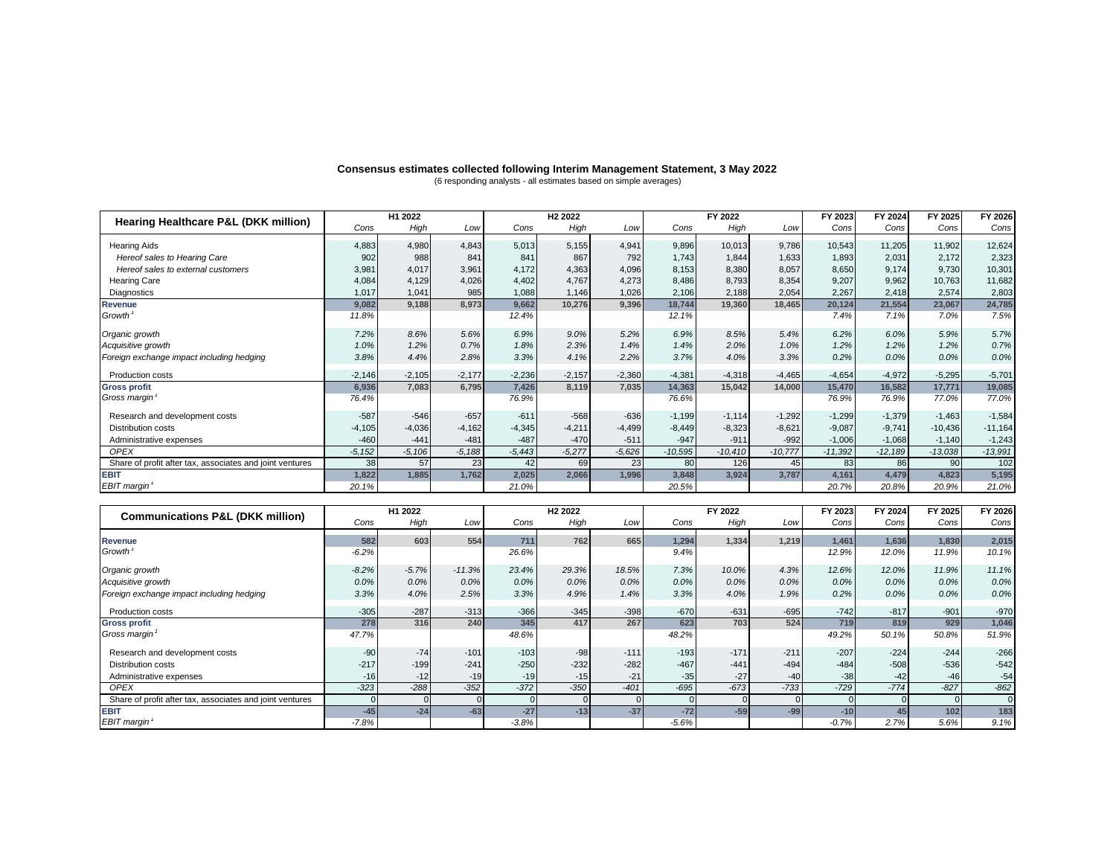### **Consensus estimates collected following Interim Management Statement, 3 May 2022** (6 responding analysts - all estimates based on simple averages)

|                                                          | H1 2022   |                     | H <sub>2</sub> 2022 |          |                     |          | FY 2022   |           | FY 2023   | FY 2024   | FY 2025   | FY 2026   |           |
|----------------------------------------------------------|-----------|---------------------|---------------------|----------|---------------------|----------|-----------|-----------|-----------|-----------|-----------|-----------|-----------|
| Hearing Healthcare P&L (DKK million)                     | Cons      | High                | Low                 | Cons     | High                | Low      | Cons      | High      | Low       | Cons      | Cons      | Cons      | Cons      |
| <b>Hearing Aids</b>                                      | 4,883     | 4,980               | 4,843               | 5,013    | 5,155               | 4,941    | 9,896     | 10,013    | 9.786     | 10,543    | 11,205    | 11,902    | 12,624    |
| Hereof sales to Hearing Care                             | 902       | 988                 | 841                 | 841      | 867                 | 792      | 1.743     | 1,844     | 1,633     | 1,893     | 2,031     | 2,172     | 2,323     |
| Hereof sales to external customers                       | 3.981     | 4.017               | 3.961               | 4,172    | 4.363               | 4,096    | 8.153     | 8.380     | 8.057     | 8.650     | 9.174     | 9.730     | 10,301    |
|                                                          |           |                     |                     | 4.402    | 4.767               |          | 8.486     |           |           | 9.207     | 9.962     |           | 11,682    |
| <b>Hearing Care</b>                                      | 4,084     | 4,129               | 4,026               |          |                     | 4,273    |           | 8,793     | 8,354     |           |           | 10,763    |           |
| Diagnostics                                              | 1,017     | 1.041               | 985                 | 1,088    | 1.146               | 1.026    | 2,106     | 2.188     | 2,054     | 2.267     | 2,418     | 2,574     | 2,803     |
| <b>Revenue</b>                                           | 9,082     | 9,188               | 8,973               | 9,662    | 10,276              | 9,396    | 18,744    | 19,360    | 18,465    | 20,124    | 21,554    | 23,067    | 24,785    |
| Growth <sup>1</sup>                                      | 11.8%     |                     |                     | 12.4%    |                     |          | 12.1%     |           |           | 7.4%      | 7.1%      | 7.0%      | 7.5%      |
| Organic growth                                           | 7.2%      | 8.6%                | 5.6%                | 6.9%     | 9.0%                | 5.2%     | 6.9%      | 8.5%      | 5.4%      | 6.2%      | 6.0%      | 5.9%      | 5.7%      |
| Acquisitive growth                                       | 1.0%      | 1.2%                | 0.7%                | 1.8%     | 2.3%                | 1.4%     | 1.4%      | 2.0%      | 1.0%      | 1.2%      | 1.2%      | 1.2%      | 0.7%      |
| Foreign exchange impact including hedging                | 3.8%      | 4.4%                | 2.8%                | 3.3%     | 4.1%                | 2.2%     | 3.7%      | 4.0%      | 3.3%      | 0.2%      | 0.0%      | 0.0%      | 0.0%      |
|                                                          |           |                     |                     |          |                     |          |           |           |           |           |           |           |           |
| <b>Production costs</b>                                  | $-2,146$  | $-2,105$            | $-2,177$            | $-2,236$ | $-2,157$            | $-2,360$ | $-4.381$  | $-4,318$  | $-4,465$  | $-4.654$  | $-4.972$  | $-5,295$  | $-5,701$  |
| <b>Gross profit</b>                                      | 6,936     | 7.083               | 6.795               | 7.426    | 8.119               | 7.035    | 14,363    | 15.042    | 14.000    | 15,470    | 16.582    | 17.771    | 19,085    |
| Gross margin                                             | 76.4%     |                     |                     | 76.9%    |                     |          | 76.6%     |           |           | 76.9%     | 76.9%     | 77.0%     | 77.0%     |
| Research and development costs                           | $-587$    | $-546$              | $-657$              | $-611$   | $-568$              | $-636$   | $-1,199$  | $-1.114$  | $-1,292$  | $-1,299$  | $-1,379$  | $-1,463$  | $-1,584$  |
| <b>Distribution costs</b>                                | $-4.105$  | $-4,036$            | $-4.162$            | $-4.345$ | $-4.211$            | $-4.499$ | $-8.449$  | $-8,323$  | $-8.621$  | $-9.087$  | $-9.741$  | $-10.436$ | $-11,164$ |
| Administrative expenses                                  | $-460$    | $-441$              | $-481$              | $-487$   | $-470$              | $-511$   | $-947$    | $-911$    | $-992$    | $-1,006$  | $-1.068$  | $-1.140$  | $-1,243$  |
| OPEX                                                     | $-5, 152$ | $-5,106$            | $-5,188$            | $-5,443$ | $-5.277$            | $-5.626$ | $-10.595$ | $-10,410$ | $-10.777$ | $-11.392$ | $-12.189$ | $-13,038$ | $-13,991$ |
| Share of profit after tax, associates and joint ventures | 38        | 57                  | 23                  | 42       | 69                  | 23       | 80        | 126       | 45        | 83        | 86        | 90        | 102       |
| <b>EBIT</b>                                              | 1,822     | 1,885               | 1,762               | 2,025    | 2.066               | 1,996    | 3,848     | 3,924     | 3,787     | 4,161     | 4,479     | 4,823     | 5,195     |
| <b>EBIT</b> margin                                       | 20.1%     |                     |                     | 21.0%    |                     |          | 20.5%     |           |           | 20.7%     | 20.8%     | 20.9%     | 21.0%     |
|                                                          |           |                     |                     |          |                     |          |           |           |           |           |           |           |           |
| <b>Communications P&amp;L (DKK million)</b>              |           | H <sub>1</sub> 2022 |                     |          | H <sub>2</sub> 2022 |          |           | FY 2022   |           | FY 2023   | FY 2024   | FY 2025   | FY 2026   |
|                                                          | Cons      | High                | Low                 | Cons     | High                | Low      | Cons      | High      | Low       | Cons      | Cons      | Cons      | Cons      |
|                                                          |           |                     |                     |          |                     |          |           |           |           |           |           |           |           |

| <b>Communications P&amp;L (DKK million)</b>              | <i>L</i> ull |         |          | 116 EVEL |        |        | . . <i>L</i> ull |        |        | . . <i>.</i> | . . <i>.</i> | . . <i>.</i> | $\sqrt{2}$ |
|----------------------------------------------------------|--------------|---------|----------|----------|--------|--------|------------------|--------|--------|--------------|--------------|--------------|------------|
|                                                          | Cons         | High    | Low      | Cons     | High   | Low    | Cons             | High   | Low    | Cons         | Cons         | Cons         | Cons       |
| Revenue                                                  | 582          | 603     | 554      | 711      | 762    | 665    | 1,294            | 1,334  | 1,219  | 1,461        | 1,636        | 1,830        | 2,015      |
| Growth <sup>1</sup>                                      | $-6.2%$      |         |          | 26.6%    |        |        | 9.4%             |        |        | 12.9%        | 12.0%        | 11.9%        | 10.1%      |
| Organic growth                                           | $-8.2%$      | $-5.7%$ | $-11.3%$ | 23.4%    | 29.3%  | 18.5%  | 7.3%             | 10.0%  | 4.3%   | 12.6%        | 12.0%        | 11.9%        | 11.1%      |
| Acquisitive growth                                       | 0.0%         | $0.0\%$ | 0.0%     | 0.0%     | 0.0%   | 0.0%   | 0.0%             | 0.0%   | 0.0%   | 0.0%         | $0.0\%$      | 0.0%         | 0.0%       |
| Foreign exchange impact including hedging                | 3.3%         | 4.0%    | 2.5%     | 3.3%     | 4.9%   | 1.4%   | 3.3%             | 4.0%   | 1.9%   | 0.2%         | 0.0%         | 0.0%         | 0.0%       |
| Production costs                                         | $-305$       | $-287$  | $-313$   | $-366$   | $-345$ | $-398$ | $-670$           | $-631$ | $-695$ | $-742$       | $-817$       | $-901$       | $-970$     |
| <b>Gross profit</b>                                      | 278          | 316     | 240      | 345      | 417    | 267    | 623              | 703    | 524    | 719          | 819          | 929          | 1,046      |
| Gross margin                                             | 47.7%        |         |          | 48.6%    |        |        | 48.2%            |        |        | 49.2%        | 50.1%        | 50.8%        | 51.9%      |
| Research and development costs                           | $-90$        | $-74$   | $-101$   | $-103$   | $-98$  | $-111$ | $-193$           | $-171$ | $-211$ | $-207$       | $-224$       | $-244$       | $-266$     |
| Distribution costs                                       | $-217$       | $-199$  | $-241$   | $-250$   | $-232$ | $-282$ | $-467$           | $-441$ | $-494$ | $-484$       | $-508$       | $-536$       | $-542$     |
| Administrative expenses                                  | $-16$        | $-12$   | $-19$    | $-19$    | $-15$  | $-21$  | $-35$            | $-27$  | $-40$  | $-38$        | $-42$        | $-46$        | $-54$      |
| <b>OPEX</b>                                              | $-323$       | $-288$  | $-352$   | $-372$   | $-350$ | $-401$ | $-695$           | $-673$ | $-733$ | $-729$       | $-774$       | $-827$       | $-862$     |
| Share of profit after tax, associates and joint ventures |              |         |          | $\Omega$ |        |        |                  |        |        |              |              |              | $\Omega$   |
| <b>EBIT</b>                                              | $-45$        | $-24$   | $-63$    | $-27$    | $-13$  | $-37$  | $-72$            | $-59$  | $-99$  | $-10$        | 45           | 102          | 183        |
| EBIT margin                                              | $-7.8%$      |         |          | $-3.8%$  |        |        | $-5.6%$          |        |        | $-0.7%$      | 2.7%         | 5.6%         | 9.1%       |